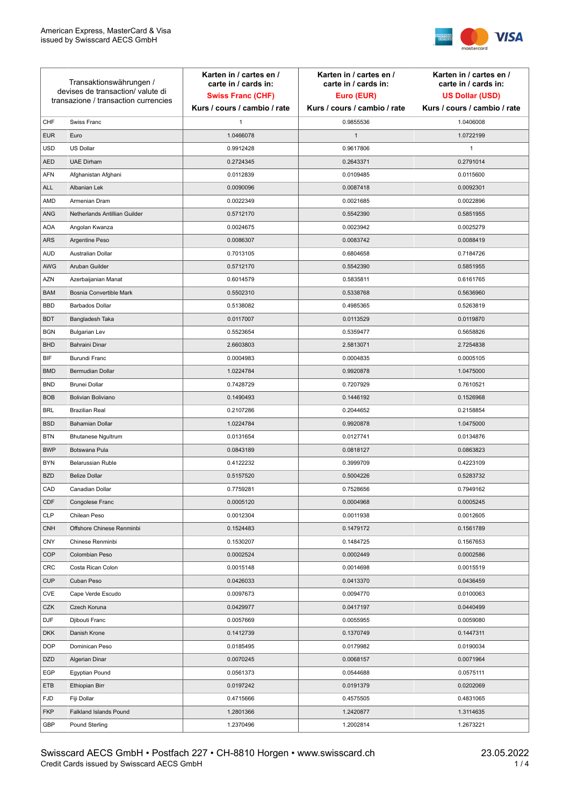

| Transaktionswährungen /<br>devises de transaction/valute di<br>transazione / transaction currencies |                               | Karten in / cartes en /<br>carte in / cards in:<br><b>Swiss Franc (CHF)</b> | Karten in / cartes en /<br>carte in / cards in:<br>Euro (EUR) | Karten in / cartes en /<br>carte in / cards in:<br><b>US Dollar (USD)</b> |
|-----------------------------------------------------------------------------------------------------|-------------------------------|-----------------------------------------------------------------------------|---------------------------------------------------------------|---------------------------------------------------------------------------|
|                                                                                                     |                               | Kurs / cours / cambio / rate                                                | Kurs / cours / cambio / rate                                  | Kurs / cours / cambio / rate                                              |
| CHF                                                                                                 | Swiss Franc                   | $\mathbf{1}$                                                                | 0.9855536                                                     | 1.0406008                                                                 |
| <b>EUR</b>                                                                                          | Euro                          | 1.0466078                                                                   | $\mathbf{1}$                                                  | 1.0722199                                                                 |
| <b>USD</b>                                                                                          | <b>US Dollar</b>              | 0.9912428                                                                   | 0.9617806                                                     | 1                                                                         |
| <b>AED</b>                                                                                          | <b>UAE Dirham</b>             | 0.2724345                                                                   | 0.2643371                                                     | 0.2791014                                                                 |
| <b>AFN</b>                                                                                          | Afghanistan Afghani           | 0.0112839                                                                   | 0.0109485                                                     | 0.0115600                                                                 |
| <b>ALL</b>                                                                                          | Albanian Lek                  | 0.0090096                                                                   | 0.0087418                                                     | 0.0092301                                                                 |
| AMD                                                                                                 | Armenian Dram                 | 0.0022349                                                                   | 0.0021685                                                     | 0.0022896                                                                 |
| ANG                                                                                                 | Netherlands Antillian Guilder | 0.5712170                                                                   | 0.5542390                                                     | 0.5851955                                                                 |
| <b>AOA</b>                                                                                          | Angolan Kwanza                | 0.0024675                                                                   | 0.0023942                                                     | 0.0025279                                                                 |
| ARS                                                                                                 | Argentine Peso                | 0.0086307                                                                   | 0.0083742                                                     | 0.0088419                                                                 |
| <b>AUD</b>                                                                                          | Australian Dollar             | 0.7013105                                                                   | 0.6804658                                                     | 0.7184726                                                                 |
| AWG                                                                                                 | Aruban Guilder                | 0.5712170                                                                   | 0.5542390                                                     | 0.5851955                                                                 |
| <b>AZN</b>                                                                                          | Azerbaijanian Manat           | 0.6014579                                                                   | 0.5835811                                                     | 0.6161765                                                                 |
| <b>BAM</b>                                                                                          | Bosnia Convertible Mark       | 0.5502310                                                                   | 0.5338768                                                     | 0.5636960                                                                 |
| <b>BBD</b>                                                                                          | <b>Barbados Dollar</b>        | 0.5138082                                                                   | 0.4985365                                                     | 0.5263819                                                                 |
| <b>BDT</b>                                                                                          | Bangladesh Taka               | 0.0117007                                                                   | 0.0113529                                                     | 0.0119870                                                                 |
| <b>BGN</b>                                                                                          | <b>Bulgarian Lev</b>          | 0.5523654                                                                   | 0.5359477                                                     | 0.5658826                                                                 |
| <b>BHD</b>                                                                                          | Bahraini Dinar                | 2.6603803                                                                   | 2.5813071                                                     | 2.7254838                                                                 |
| BIF                                                                                                 | Burundi Franc                 | 0.0004983                                                                   | 0.0004835                                                     | 0.0005105                                                                 |
| <b>BMD</b>                                                                                          | Bermudian Dollar              | 1.0224784                                                                   | 0.9920878                                                     | 1.0475000                                                                 |
| <b>BND</b>                                                                                          | <b>Brunei Dollar</b>          | 0.7428729                                                                   | 0.7207929                                                     | 0.7610521                                                                 |
| <b>BOB</b>                                                                                          | Bolivian Boliviano            | 0.1490493                                                                   | 0.1446192                                                     | 0.1526968                                                                 |
| <b>BRL</b>                                                                                          | <b>Brazilian Real</b>         | 0.2107286                                                                   | 0.2044652                                                     | 0.2158854                                                                 |
| <b>BSD</b>                                                                                          | <b>Bahamian Dollar</b>        | 1.0224784                                                                   | 0.9920878                                                     | 1.0475000                                                                 |
| <b>BTN</b>                                                                                          | <b>Bhutanese Ngultrum</b>     | 0.0131654                                                                   | 0.0127741                                                     | 0.0134876                                                                 |
| <b>BWP</b>                                                                                          | Botswana Pula                 | 0.0843189                                                                   | 0.0818127                                                     | 0.0863823                                                                 |
| <b>BYN</b>                                                                                          | Belarussian Ruble             | 0.4122232                                                                   | 0.3999709                                                     | 0.4223109                                                                 |
| <b>BZD</b>                                                                                          | <b>Belize Dollar</b>          | 0.5157520                                                                   | 0.5004226                                                     | 0.5283732                                                                 |
| CAD                                                                                                 | Canadian Dollar               | 0.7759281                                                                   | 0.7528656                                                     | 0.7949162                                                                 |
| CDF                                                                                                 | Congolese Franc               | 0.0005120                                                                   | 0.0004968                                                     | 0.0005245                                                                 |
| <b>CLP</b>                                                                                          | Chilean Peso                  | 0.0012304                                                                   | 0.0011938                                                     | 0.0012605                                                                 |
| <b>CNH</b>                                                                                          | Offshore Chinese Renminbi     | 0.1524483                                                                   | 0.1479172                                                     | 0.1561789                                                                 |
| <b>CNY</b>                                                                                          | Chinese Renminbi              | 0.1530207                                                                   | 0.1484725                                                     | 0.1567653                                                                 |
| <b>COP</b>                                                                                          | Colombian Peso                | 0.0002524                                                                   | 0.0002449                                                     | 0.0002586                                                                 |
| CRC                                                                                                 | Costa Rican Colon             | 0.0015148                                                                   | 0.0014698                                                     | 0.0015519                                                                 |
| <b>CUP</b>                                                                                          | Cuban Peso                    | 0.0426033                                                                   | 0.0413370                                                     | 0.0436459                                                                 |
| CVE                                                                                                 | Cape Verde Escudo             | 0.0097673                                                                   | 0.0094770                                                     | 0.0100063                                                                 |
| CZK                                                                                                 | Czech Koruna                  | 0.0429977                                                                   | 0.0417197                                                     | 0.0440499                                                                 |
| <b>DJF</b>                                                                                          | Djibouti Franc                | 0.0057669                                                                   | 0.0055955                                                     | 0.0059080                                                                 |
| <b>DKK</b>                                                                                          | Danish Krone                  | 0.1412739                                                                   | 0.1370749                                                     | 0.1447311                                                                 |
| <b>DOP</b>                                                                                          | Dominican Peso                | 0.0185495                                                                   | 0.0179982                                                     | 0.0190034                                                                 |
| <b>DZD</b>                                                                                          | Algerian Dinar                | 0.0070245                                                                   | 0.0068157                                                     | 0.0071964                                                                 |
| EGP                                                                                                 | Egyptian Pound                | 0.0561373                                                                   | 0.0544688                                                     | 0.0575111                                                                 |
| ETB                                                                                                 | Ethiopian Birr                | 0.0197242                                                                   | 0.0191379                                                     | 0.0202069                                                                 |
| <b>FJD</b>                                                                                          | Fiji Dollar                   | 0.4715666                                                                   | 0.4575505                                                     | 0.4831065                                                                 |
| <b>FKP</b>                                                                                          | Falkland Islands Pound        | 1.2801366                                                                   | 1.2420877                                                     | 1.3114635                                                                 |
| GBP                                                                                                 | Pound Sterling                | 1.2370496                                                                   | 1.2002814                                                     | 1.2673221                                                                 |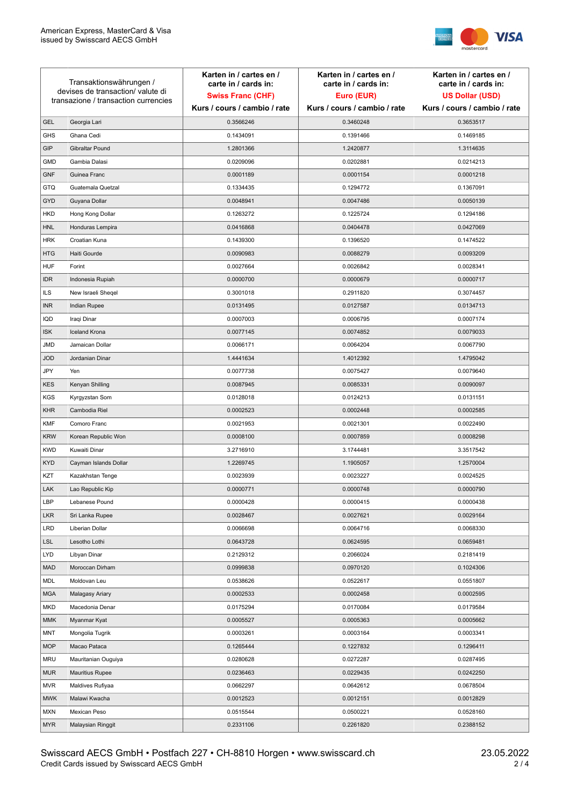

| Transaktionswährungen /<br>devises de transaction/valute di |                                      | Karten in / cartes en /<br>carte in / cards in: | Karten in / cartes en /<br>carte in / cards in: | Karten in / cartes en /<br>carte in / cards in: |
|-------------------------------------------------------------|--------------------------------------|-------------------------------------------------|-------------------------------------------------|-------------------------------------------------|
|                                                             |                                      | <b>Swiss Franc (CHF)</b>                        | Euro (EUR)                                      | <b>US Dollar (USD)</b>                          |
|                                                             | transazione / transaction currencies | Kurs / cours / cambio / rate                    | Kurs / cours / cambio / rate                    | Kurs / cours / cambio / rate                    |
| <b>GEL</b>                                                  | Georgia Lari                         | 0.3566246                                       | 0.3460248                                       | 0.3653517                                       |
| <b>GHS</b>                                                  | Ghana Cedi                           | 0.1434091                                       | 0.1391466                                       | 0.1469185                                       |
| GIP                                                         | Gibraltar Pound                      | 1.2801366                                       | 1.2420877                                       | 1.3114635                                       |
| <b>GMD</b>                                                  | Gambia Dalasi                        | 0.0209096                                       | 0.0202881                                       | 0.0214213                                       |
| <b>GNF</b>                                                  | Guinea Franc                         | 0.0001189                                       | 0.0001154                                       | 0.0001218                                       |
| <b>GTQ</b>                                                  | Guatemala Quetzal                    | 0.1334435                                       | 0.1294772                                       | 0.1367091                                       |
| GYD                                                         | Guyana Dollar                        | 0.0048941                                       | 0.0047486                                       | 0.0050139                                       |
| HKD                                                         | Hong Kong Dollar                     | 0.1263272                                       | 0.1225724                                       | 0.1294186                                       |
| <b>HNL</b>                                                  | Honduras Lempira                     | 0.0416868                                       | 0.0404478                                       | 0.0427069                                       |
| <b>HRK</b>                                                  | Croatian Kuna                        | 0.1439300                                       | 0.1396520                                       | 0.1474522                                       |
| <b>HTG</b>                                                  | Haiti Gourde                         | 0.0090983                                       | 0.0088279                                       | 0.0093209                                       |
| <b>HUF</b>                                                  | Forint                               | 0.0027664                                       | 0.0026842                                       | 0.0028341                                       |
| <b>IDR</b>                                                  | Indonesia Rupiah                     | 0.0000700                                       | 0.0000679                                       | 0.0000717                                       |
| <b>ILS</b>                                                  | New Israeli Sheqel                   | 0.3001018                                       | 0.2911820                                       | 0.3074457                                       |
| <b>INR</b>                                                  | Indian Rupee                         | 0.0131495                                       | 0.0127587                                       | 0.0134713                                       |
| IQD                                                         | Iraqi Dinar                          | 0.0007003                                       | 0.0006795                                       | 0.0007174                                       |
| <b>ISK</b>                                                  | <b>Iceland Krona</b>                 | 0.0077145                                       | 0.0074852                                       | 0.0079033                                       |
| <b>JMD</b>                                                  | Jamaican Dollar                      | 0.0066171                                       | 0.0064204                                       | 0.0067790                                       |
| <b>JOD</b>                                                  | Jordanian Dinar                      | 1.4441634                                       | 1.4012392                                       | 1.4795042                                       |
| JPY                                                         | Yen                                  | 0.0077738                                       | 0.0075427                                       | 0.0079640                                       |
| <b>KES</b>                                                  | Kenyan Shilling                      | 0.0087945                                       | 0.0085331                                       | 0.0090097                                       |
| <b>KGS</b>                                                  | Kyrgyzstan Som                       | 0.0128018                                       | 0.0124213                                       | 0.0131151                                       |
| <b>KHR</b>                                                  | Cambodia Riel                        | 0.0002523                                       | 0.0002448                                       | 0.0002585                                       |
| <b>KMF</b>                                                  | Comoro Franc                         | 0.0021953                                       | 0.0021301                                       | 0.0022490                                       |
| <b>KRW</b>                                                  | Korean Republic Won                  | 0.0008100                                       | 0.0007859                                       | 0.0008298                                       |
| <b>KWD</b>                                                  | Kuwaiti Dinar                        | 3.2716910                                       | 3.1744481                                       | 3.3517542                                       |
| <b>KYD</b>                                                  | Cayman Islands Dollar                | 1.2269745                                       | 1.1905057                                       | 1.2570004                                       |
| KZT                                                         | Kazakhstan Tenge                     | 0.0023939                                       | 0.0023227                                       | 0.0024525                                       |
| LAK                                                         | Lao Republic Kip                     | 0.0000771                                       | 0.0000748                                       | 0.0000790                                       |
| LBP                                                         | Lebanese Pound                       | 0.0000428                                       | 0.0000415                                       | 0.0000438                                       |
| <b>LKR</b>                                                  | Sri Lanka Rupee                      | 0.0028467                                       | 0.0027621                                       | 0.0029164                                       |
| LRD                                                         | Liberian Dollar                      | 0.0066698                                       | 0.0064716                                       | 0.0068330                                       |
| <b>LSL</b>                                                  | Lesotho Lothi                        | 0.0643728                                       | 0.0624595                                       | 0.0659481                                       |
| LYD                                                         | Libyan Dinar                         | 0.2129312                                       | 0.2066024                                       | 0.2181419                                       |
| <b>MAD</b>                                                  | Moroccan Dirham                      | 0.0999838                                       | 0.0970120                                       | 0.1024306                                       |
| MDL                                                         | Moldovan Leu                         | 0.0538626                                       | 0.0522617                                       | 0.0551807                                       |
| <b>MGA</b>                                                  | Malagasy Ariary                      | 0.0002533                                       | 0.0002458                                       | 0.0002595                                       |
| MKD                                                         | Macedonia Denar                      | 0.0175294                                       | 0.0170084                                       | 0.0179584                                       |
| <b>MMK</b>                                                  | Myanmar Kyat                         | 0.0005527                                       | 0.0005363                                       | 0.0005662                                       |
| <b>MNT</b>                                                  | Mongolia Tugrik                      | 0.0003261                                       | 0.0003164                                       | 0.0003341                                       |
| <b>MOP</b>                                                  | Macao Pataca                         | 0.1265444                                       | 0.1227832                                       | 0.1296411                                       |
| <b>MRU</b>                                                  | Mauritanian Ouguiya                  | 0.0280628                                       | 0.0272287                                       | 0.0287495                                       |
| <b>MUR</b>                                                  | <b>Mauritius Rupee</b>               | 0.0236463                                       | 0.0229435                                       | 0.0242250                                       |
| <b>MVR</b>                                                  | Maldives Rufiyaa                     | 0.0662297                                       | 0.0642612                                       | 0.0678504                                       |
| <b>MWK</b>                                                  | Malawi Kwacha                        | 0.0012523                                       | 0.0012151                                       | 0.0012829                                       |
| MXN                                                         | Mexican Peso                         | 0.0515544                                       | 0.0500221                                       | 0.0528160                                       |
| <b>MYR</b>                                                  | Malaysian Ringgit                    | 0.2331106                                       | 0.2261820                                       | 0.2388152                                       |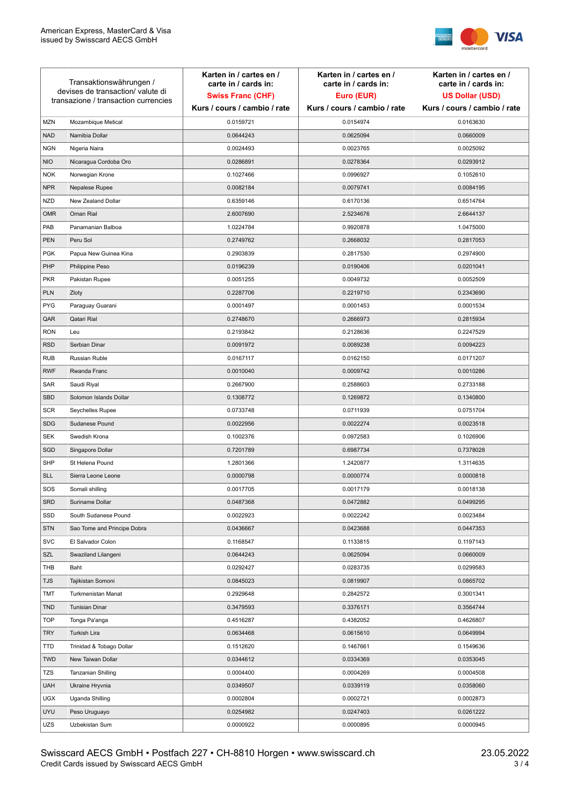

| Transaktionswährungen /<br>devises de transaction/valute di<br>transazione / transaction currencies |                             | Karten in / cartes en /<br>carte in / cards in:<br><b>Swiss Franc (CHF)</b><br>Kurs / cours / cambio / rate | Karten in / cartes en /<br>carte in / cards in:<br>Euro (EUR)<br>Kurs / cours / cambio / rate | Karten in / cartes en /<br>carte in / cards in:<br><b>US Dollar (USD)</b><br>Kurs / cours / cambio / rate |
|-----------------------------------------------------------------------------------------------------|-----------------------------|-------------------------------------------------------------------------------------------------------------|-----------------------------------------------------------------------------------------------|-----------------------------------------------------------------------------------------------------------|
|                                                                                                     |                             |                                                                                                             |                                                                                               |                                                                                                           |
| <b>MZN</b>                                                                                          | Mozambique Metical          | 0.0159721                                                                                                   | 0.0154974                                                                                     | 0.0163630                                                                                                 |
| <b>NAD</b>                                                                                          | Namibia Dollar              | 0.0644243                                                                                                   | 0.0625094                                                                                     | 0.0660009                                                                                                 |
| <b>NGN</b>                                                                                          | Nigeria Naira               | 0.0024493                                                                                                   | 0.0023765                                                                                     | 0.0025092                                                                                                 |
| <b>NIO</b>                                                                                          | Nicaragua Cordoba Oro       | 0.0286891                                                                                                   | 0.0278364                                                                                     | 0.0293912                                                                                                 |
| <b>NOK</b>                                                                                          | Norwegian Krone             | 0.1027466                                                                                                   | 0.0996927                                                                                     | 0.1052610                                                                                                 |
| <b>NPR</b>                                                                                          | Nepalese Rupee              | 0.0082184                                                                                                   | 0.0079741                                                                                     | 0.0084195                                                                                                 |
| <b>NZD</b>                                                                                          | New Zealand Dollar          | 0.6359146                                                                                                   | 0.6170136                                                                                     | 0.6514764                                                                                                 |
| <b>OMR</b>                                                                                          | Oman Rial                   | 2.6007690                                                                                                   | 2.5234676                                                                                     | 2.6644137                                                                                                 |
| PAB                                                                                                 | Panamanian Balboa           | 1.0224784                                                                                                   | 0.9920878                                                                                     | 1.0475000                                                                                                 |
| <b>PEN</b>                                                                                          | Peru Sol                    | 0.2749762                                                                                                   | 0.2668032                                                                                     | 0.2817053                                                                                                 |
| <b>PGK</b>                                                                                          | Papua New Guinea Kina       | 0.2903839                                                                                                   | 0.2817530                                                                                     | 0.2974900                                                                                                 |
| PHP                                                                                                 | Philippine Peso             | 0.0196239                                                                                                   | 0.0190406                                                                                     | 0.0201041                                                                                                 |
| <b>PKR</b>                                                                                          | Pakistan Rupee              | 0.0051255                                                                                                   | 0.0049732                                                                                     | 0.0052509                                                                                                 |
| <b>PLN</b>                                                                                          | Zloty                       | 0.2287706                                                                                                   | 0.2219710                                                                                     | 0.2343690                                                                                                 |
| <b>PYG</b>                                                                                          | Paraguay Guarani            | 0.0001497                                                                                                   | 0.0001453                                                                                     | 0.0001534                                                                                                 |
| QAR                                                                                                 | Qatari Rial                 | 0.2748670                                                                                                   | 0.2666973                                                                                     | 0.2815934                                                                                                 |
| <b>RON</b>                                                                                          | Leu                         | 0.2193842                                                                                                   | 0.2128636                                                                                     | 0.2247529                                                                                                 |
| <b>RSD</b>                                                                                          | Serbian Dinar               | 0.0091972                                                                                                   | 0.0089238                                                                                     | 0.0094223                                                                                                 |
| <b>RUB</b>                                                                                          | Russian Ruble               | 0.0167117                                                                                                   | 0.0162150                                                                                     | 0.0171207                                                                                                 |
| <b>RWF</b>                                                                                          | Rwanda Franc                | 0.0010040                                                                                                   | 0.0009742                                                                                     | 0.0010286                                                                                                 |
| SAR                                                                                                 | Saudi Riyal                 | 0.2667900                                                                                                   | 0.2588603                                                                                     | 0.2733188                                                                                                 |
| SBD                                                                                                 | Solomon Islands Dollar      | 0.1308772                                                                                                   | 0.1269872                                                                                     | 0.1340800                                                                                                 |
| <b>SCR</b>                                                                                          | Seychelles Rupee            | 0.0733748                                                                                                   | 0.0711939                                                                                     | 0.0751704                                                                                                 |
| <b>SDG</b>                                                                                          | Sudanese Pound              | 0.0022956                                                                                                   | 0.0022274                                                                                     | 0.0023518                                                                                                 |
| <b>SEK</b>                                                                                          | Swedish Krona               | 0.1002376                                                                                                   | 0.0972583                                                                                     | 0.1026906                                                                                                 |
| SGD                                                                                                 | Singapore Dollar            | 0.7201789                                                                                                   | 0.6987734                                                                                     | 0.7378028                                                                                                 |
| <b>SHP</b>                                                                                          | St Helena Pound             | 1.2801366                                                                                                   | 1.2420877                                                                                     | 1.3114635                                                                                                 |
| <b>SLL</b>                                                                                          | Sierra Leone Leone          | 0.0000798                                                                                                   | 0.0000774                                                                                     | 0.0000818                                                                                                 |
| SOS                                                                                                 | Somali shilling             | 0.0017705                                                                                                   | 0.0017179                                                                                     | 0.0018138                                                                                                 |
| SRD                                                                                                 | Suriname Dollar             | 0.0487368                                                                                                   | 0.0472882                                                                                     | 0.0499295                                                                                                 |
| SSD                                                                                                 | South Sudanese Pound        | 0.0022923                                                                                                   | 0.0022242                                                                                     | 0.0023484                                                                                                 |
| <b>STN</b>                                                                                          | Sao Tome and Principe Dobra | 0.0436667                                                                                                   | 0.0423688                                                                                     | 0.0447353                                                                                                 |
| <b>SVC</b>                                                                                          | El Salvador Colon           | 0.1168547                                                                                                   | 0.1133815                                                                                     | 0.1197143                                                                                                 |
| SZL                                                                                                 | Swaziland Lilangeni         | 0.0644243                                                                                                   | 0.0625094                                                                                     | 0.0660009                                                                                                 |
| THB                                                                                                 | Baht                        | 0.0292427                                                                                                   | 0.0283735                                                                                     | 0.0299583                                                                                                 |
| <b>TJS</b>                                                                                          | Tajikistan Somoni           | 0.0845023                                                                                                   | 0.0819907                                                                                     | 0.0865702                                                                                                 |
| TMT                                                                                                 | Turkmenistan Manat          | 0.2929648                                                                                                   | 0.2842572                                                                                     | 0.3001341                                                                                                 |
| <b>TND</b>                                                                                          | <b>Tunisian Dinar</b>       | 0.3479593                                                                                                   | 0.3376171                                                                                     | 0.3564744                                                                                                 |
| <b>TOP</b>                                                                                          | Tonga Pa'anga               | 0.4516287                                                                                                   | 0.4382052                                                                                     | 0.4626807                                                                                                 |
| <b>TRY</b>                                                                                          | Turkish Lira                | 0.0634468                                                                                                   | 0.0615610                                                                                     | 0.0649994                                                                                                 |
| TTD                                                                                                 | Trinidad & Tobago Dollar    | 0.1512620                                                                                                   | 0.1467661                                                                                     | 0.1549636                                                                                                 |
| <b>TWD</b>                                                                                          | New Taiwan Dollar           | 0.0344612                                                                                                   | 0.0334369                                                                                     | 0.0353045                                                                                                 |
| <b>TZS</b>                                                                                          | Tanzanian Shilling          | 0.0004400                                                                                                   | 0.0004269                                                                                     | 0.0004508                                                                                                 |
| <b>UAH</b>                                                                                          | Ukraine Hryvnia             | 0.0349507                                                                                                   | 0.0339119                                                                                     | 0.0358060                                                                                                 |
| <b>UGX</b>                                                                                          | Uganda Shilling             | 0.0002804                                                                                                   | 0.0002721                                                                                     | 0.0002873                                                                                                 |
| <b>UYU</b>                                                                                          | Peso Uruguayo               | 0.0254982                                                                                                   | 0.0247403                                                                                     | 0.0261222                                                                                                 |
| UZS                                                                                                 | Uzbekistan Sum              | 0.0000922                                                                                                   | 0.0000895                                                                                     | 0.0000945                                                                                                 |